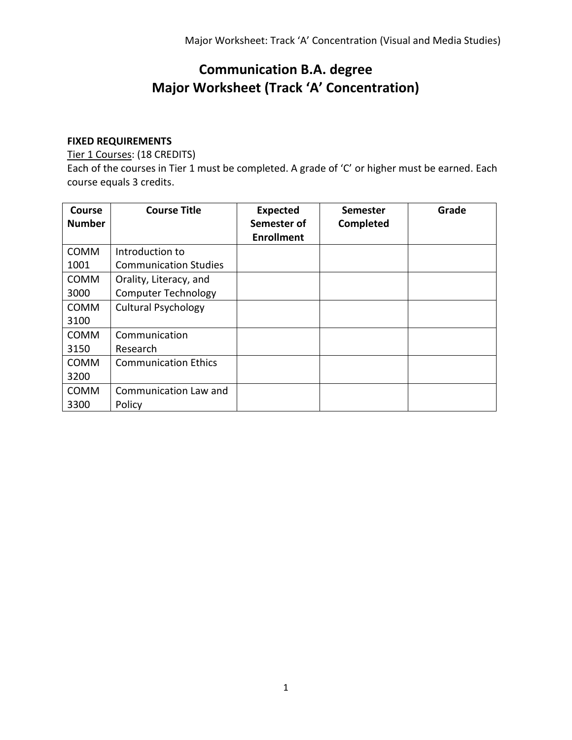# **Communication B.A. degree Major Worksheet (Track 'A' Concentration)**

## **FIXED REQUIREMENTS**

Tier 1 Courses: (18 CREDITS)

Each of the courses in Tier 1 must be completed. A grade of 'C' or higher must be earned. Each course equals 3 credits.

| <b>Course</b><br><b>Number</b> | <b>Course Title</b>          | <b>Expected</b><br>Semester of<br><b>Enrollment</b> | Semester<br>Completed | Grade |
|--------------------------------|------------------------------|-----------------------------------------------------|-----------------------|-------|
| <b>COMM</b>                    | Introduction to              |                                                     |                       |       |
| 1001                           | <b>Communication Studies</b> |                                                     |                       |       |
| <b>COMM</b>                    | Orality, Literacy, and       |                                                     |                       |       |
| 3000                           | <b>Computer Technology</b>   |                                                     |                       |       |
| <b>COMM</b>                    | <b>Cultural Psychology</b>   |                                                     |                       |       |
| 3100                           |                              |                                                     |                       |       |
| <b>COMM</b>                    | Communication                |                                                     |                       |       |
| 3150                           | Research                     |                                                     |                       |       |
| <b>COMM</b>                    | <b>Communication Ethics</b>  |                                                     |                       |       |
| 3200                           |                              |                                                     |                       |       |
| COMM                           | Communication Law and        |                                                     |                       |       |
| 3300                           | Policy                       |                                                     |                       |       |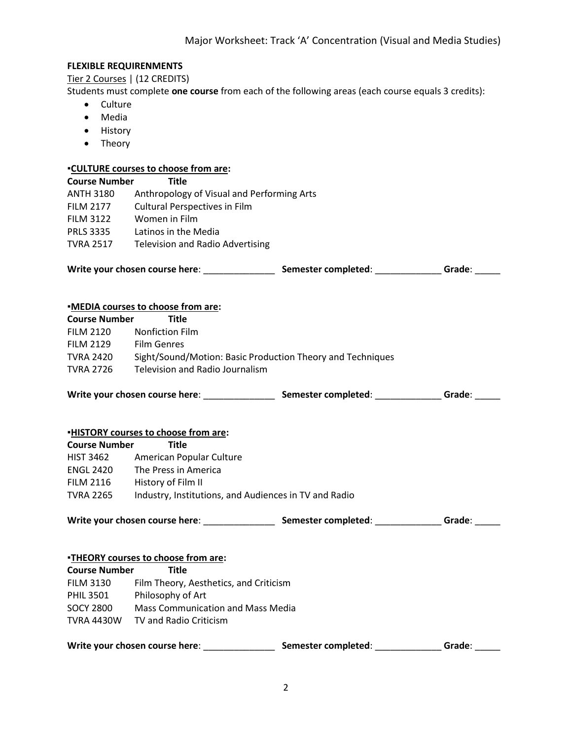#### **FLEXIBLE REQUIRENMENTS**

Tier 2 Courses | (12 CREDITS)

Students must complete **one course** from each of the following areas (each course equals 3 credits):

- Culture
- Media
- History
- Theory

## **▪CULTURE courses to choose from are:**

| <b>Course Number</b> | <u>-COLTUNE COUISES TO CHOOSE ITOM AFTE</u> .<br><b>Title</b>                                                     |  |        |  |  |
|----------------------|-------------------------------------------------------------------------------------------------------------------|--|--------|--|--|
| <b>ANTH 3180</b>     | Anthropology of Visual and Performing Arts                                                                        |  |        |  |  |
| <b>FILM 2177</b>     | <b>Cultural Perspectives in Film</b>                                                                              |  |        |  |  |
| <b>FILM 3122</b>     | Women in Film                                                                                                     |  |        |  |  |
|                      | PRLS 3335 Latinos in the Media                                                                                    |  |        |  |  |
|                      | TVRA 2517 Television and Radio Advertising                                                                        |  |        |  |  |
|                      |                                                                                                                   |  |        |  |  |
|                      | <b>.MEDIA</b> courses to choose from are:                                                                         |  |        |  |  |
| <b>Course Number</b> | <b>Title</b>                                                                                                      |  |        |  |  |
| <b>FILM 2120</b>     | <b>Nonfiction Film</b>                                                                                            |  |        |  |  |
| <b>FILM 2129</b>     | <b>Film Genres</b>                                                                                                |  |        |  |  |
|                      | TVRA 2420 Sight/Sound/Motion: Basic Production Theory and Techniques                                              |  |        |  |  |
|                      | TVRA 2726 Television and Radio Journalism                                                                         |  |        |  |  |
|                      | Write your chosen course here: _______________________________Semester completed: __________________Grade: ______ |  |        |  |  |
|                      | <b>.HISTORY courses to choose from are:</b>                                                                       |  |        |  |  |
| <b>Course Number</b> | <b>Title</b>                                                                                                      |  |        |  |  |
|                      | HIST 3462 American Popular Culture                                                                                |  |        |  |  |
|                      | ENGL 2420 The Press in America                                                                                    |  |        |  |  |
|                      | FILM 2116 History of Film II                                                                                      |  |        |  |  |
|                      | TVRA 2265 Industry, Institutions, and Audiences in TV and Radio                                                   |  |        |  |  |
|                      | Write your chosen course here: ___________________________Semester completed: ________________Grade: ________     |  |        |  |  |
|                      | <b>-THEORY courses to choose from are:</b>                                                                        |  |        |  |  |
| Course Number        | <b>Title</b>                                                                                                      |  |        |  |  |
| <b>FILM 3130</b>     | Film Theory, Aesthetics, and Criticism                                                                            |  |        |  |  |
|                      | PHIL 3501 Philosophy of Art                                                                                       |  |        |  |  |
|                      | SOCY 2800 Mass Communication and Mass Media                                                                       |  |        |  |  |
|                      | TVRA 4430W TV and Radio Criticism                                                                                 |  |        |  |  |
|                      |                                                                                                                   |  | Grade: |  |  |